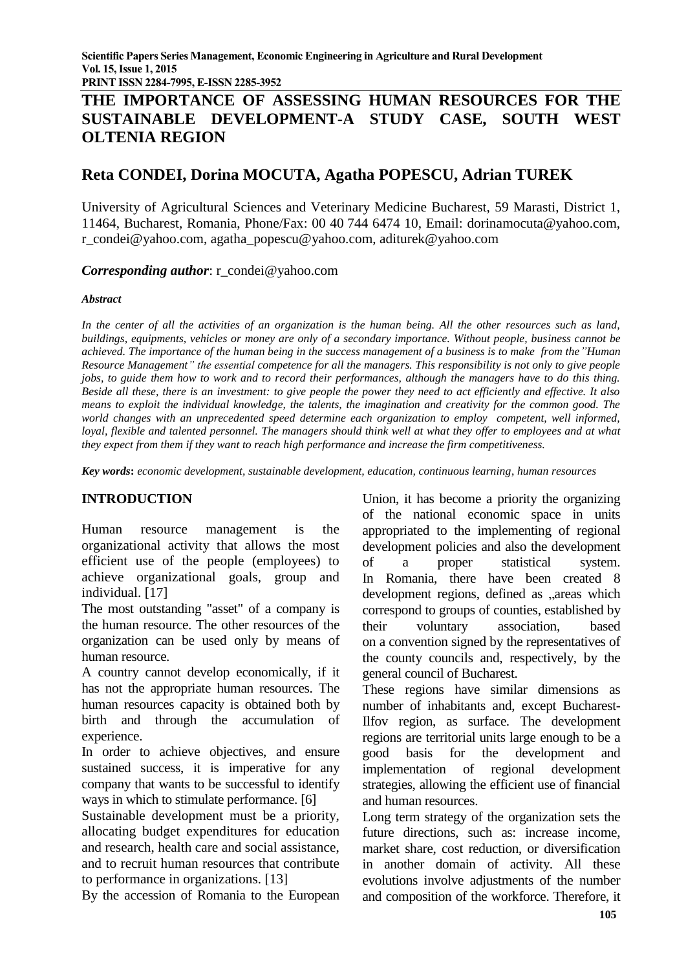**PRINT ISSN 2284-7995, E-ISSN 2285-3952** 

# **THE IMPORTANCE OF ASSESSING HUMAN RESOURCES FOR THE SUSTAINABLE DEVELOPMENT-A STUDY CASE, SOUTH WEST OLTENIA REGION**

# **Reta CONDEI, Dorina MOCUTA, Agatha POPESCU, Adrian TUREK**

University of Agricultural Sciences and Veterinary Medicine Bucharest, 59 Marasti, District 1, 11464, Bucharest, Romania, Phone/Fax: 00 40 744 6474 10, Email: dorinamocuta@yahoo.com, r\_condei@yahoo.com, agatha\_popescu@yahoo.com, aditurek@yahoo.com

*Corresponding author*: r\_condei@yahoo.com

#### *Abstract*

*In the center of all the activities of an organization is the human being. All the other resources such as land, buildings, equipments, vehicles or money are only of a secondary importance. Without people, business cannot be achieved. The importance of the human being in the success management of a business is to make from the"Human Resource Management" the essential competence for all the managers. This responsibility is not only to give people jobs, to guide them how to work and to record their performances, although the managers have to do this thing. Beside all these, there is an investment: to give people the power they need to act efficiently and effective. It also means to exploit the individual knowledge, the talents, the imagination and creativity for the common good. The world changes with an unprecedented speed determine each organization to employ competent, well informed, loyal, flexible and talented personnel. The managers should think well at what they offer to employees and at what they expect from them if they want to reach high performance and increase the firm competitiveness.*

*Key words***:** *economic development, sustainable development, education, continuous learning*, *human resources*

# **INTRODUCTION**

Human resource management is the organizational activity that allows the most efficient use of the people (employees) to achieve organizational goals, group and individual. [17]

The most outstanding "asset" of a company is the human resource. The other resources of the organization can be used only by means of human resource.

A country cannot develop economically, if it has not the appropriate human resources. The human resources capacity is obtained both by birth and through the accumulation of experience.

In order to achieve objectives, and ensure sustained success, it is imperative for any company that wants to be successful to identify ways in which to stimulate performance. [6]

Sustainable development must be a priority, allocating budget expenditures for education and research, health care and social assistance, and to recruit human resources that contribute to performance in organizations. [13]

By the accession of Romania to the European

Union, it has become a priority the organizing of the national economic space in units appropriated to the implementing of regional development policies and also the development of a proper statistical system. In Romania, there have been created 8 development regions, defined as "areas which correspond to groups of counties, established by their voluntary association, based on a convention signed by the representatives of the county councils and, respectively, by the general council of Bucharest.

These regions have similar dimensions as number of inhabitants and, except Bucharest-Ilfov region, as surface. The development regions are territorial units large enough to be a good basis for the development and implementation of regional development strategies, allowing the efficient use of financial and human resources.

Long term strategy of the organization sets the future directions, such as: increase income, market share, cost reduction, or diversification in another domain of activity. All these evolutions involve adjustments of the number and composition of the workforce. Therefore, it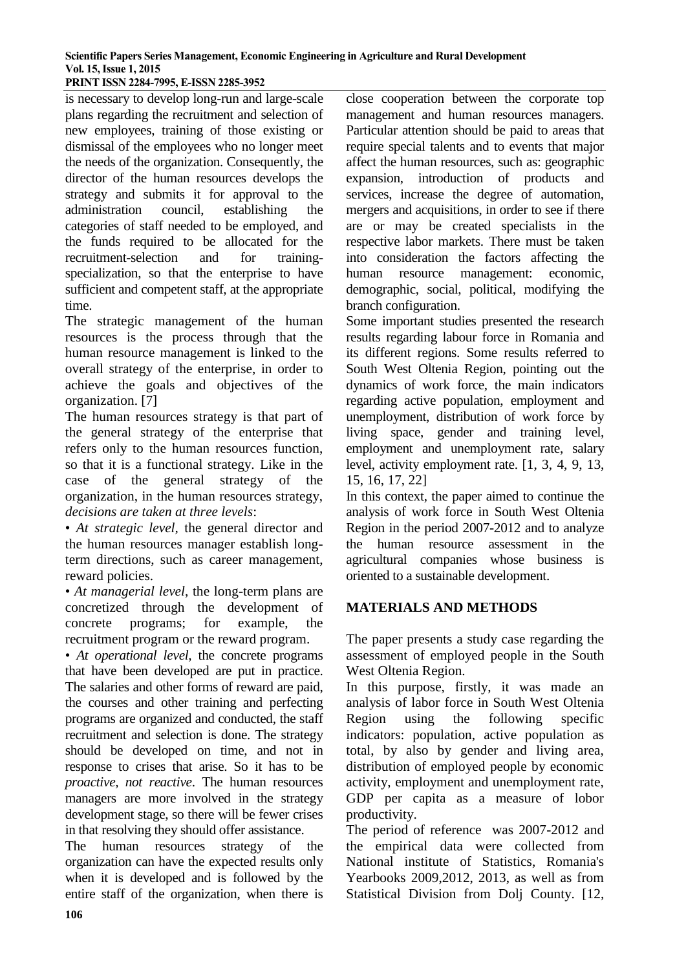#### **Scientific Papers Series Management, Economic Engineering in Agriculture and Rural Development Vol. 15, Issue 1, 2015 PRINT ISSN 2284-7995, E-ISSN 2285-3952**

is necessary to develop long-run and large-scale plans regarding the recruitment and selection of new employees, training of those existing or dismissal of the employees who no longer meet the needs of the organization. Consequently, the director of the human resources develops the strategy and submits it for approval to the administration council, establishing the categories of staff needed to be employed, and the funds required to be allocated for the recruitment-selection and for training-

specialization, so that the enterprise to have sufficient and competent staff, at the appropriate time.

The strategic management of the human resources is the process through that the human resource management is linked to the overall strategy of the enterprise, in order to achieve the goals and objectives of the organization. [7]

The human resources strategy is that part of the general strategy of the enterprise that refers only to the human resources function, so that it is a functional strategy. Like in the case of the general strategy of the organization, in the human resources strategy, *decisions are taken at three levels*:

• *At strategic level,* the general director and the human resources manager establish longterm directions, such as career management, reward policies.

• *At managerial level*, the long-term plans are concretized through the development of concrete programs; for example, the recruitment program or the reward program.

• *At operational level,* the concrete programs that have been developed are put in practice. The salaries and other forms of reward are paid, the courses and other training and perfecting programs are organized and conducted, the staff recruitment and selection is done. The strategy should be developed on time, and not in response to crises that arise. So it has to be *proactive, not reactive*. The human resources managers are more involved in the strategy development stage, so there will be fewer crises in that resolving they should offer assistance.

The human resources strategy of the organization can have the expected results only when it is developed and is followed by the entire staff of the organization, when there is

close cooperation between the corporate top management and human resources managers. Particular attention should be paid to areas that require special talents and to events that major affect the human resources, such as: geographic expansion, introduction of products and services, increase the degree of automation, mergers and acquisitions, in order to see if there are or may be created specialists in the respective labor markets. There must be taken into consideration the factors affecting the human resource management: economic, demographic, social, political, modifying the branch configuration.

Some important studies presented the research results regarding labour force in Romania and its different regions. Some results referred to South West Oltenia Region, pointing out the dynamics of work force, the main indicators regarding active population, employment and unemployment, distribution of work force by living space, gender and training level, employment and unemployment rate, salary level, activity employment rate. [1, 3, 4, 9, 13, 15, 16, 17, 22]

In this context, the paper aimed to continue the analysis of work force in South West Oltenia Region in the period 2007-2012 and to analyze the human resource assessment in the agricultural companies whose business is oriented to a sustainable development.

# **MATERIALS AND METHODS**

The paper presents a study case regarding the assessment of employed people in the South West Oltenia Region.

In this purpose, firstly, it was made an analysis of labor force in South West Oltenia Region using the following specific indicators: population, active population as total, by also by gender and living area, distribution of employed people by economic activity, employment and unemployment rate, GDP per capita as a measure of lobor productivity.

The period of reference was 2007-2012 and the empirical data were collected from National institute of Statistics, Romania's Yearbooks 2009,2012, 2013, as well as from Statistical Division from Dolj County. [12,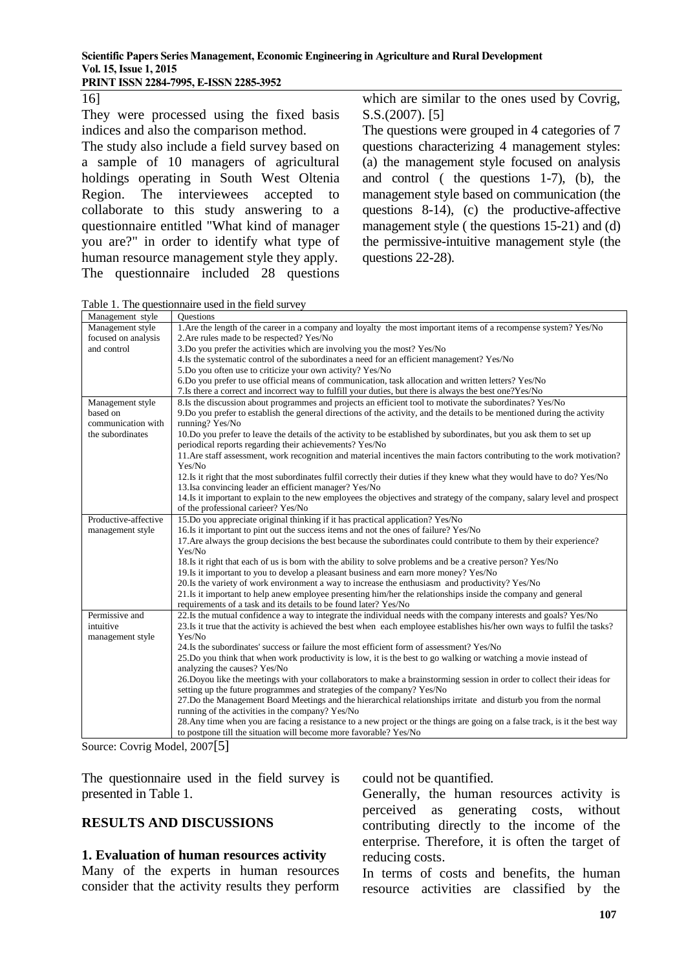16]

They were processed using the fixed basis indices and also the comparison method.

The study also include a field survey based on a sample of 10 managers of agricultural holdings operating in South West Oltenia Region. The interviewees accepted to collaborate to this study answering to a questionnaire entitled "What kind of manager you are?" in order to identify what type of human resource management style they apply. The questionnaire included 28 questions

which are similar to the ones used by Covrig, S.S.(2007). [5]

The questions were grouped in 4 categories of 7 questions characterizing 4 management styles: (a) the management style focused on analysis and control ( the questions 1-7), (b), the management style based on communication (the questions 8-14), (c) the productive-affective management style ( the questions 15-21) and (d) the permissive-intuitive management style (the questions 22-28).

Table 1. The questionnaire used in the field survey

| Management style     | <b>Ouestions</b>                                                                                                            |
|----------------------|-----------------------------------------------------------------------------------------------------------------------------|
| Management style     | 1. Are the length of the career in a company and loyalty the most important items of a recompense system? Yes/No            |
| focused on analysis  | 2. Are rules made to be respected? Yes/No                                                                                   |
| and control          | 3. Do you prefer the activities which are involving you the most? Yes/No                                                    |
|                      | 4. Is the systematic control of the subordinates a need for an efficient management? Yes/No                                 |
|                      | 5.Do you often use to criticize your own activity? Yes/No                                                                   |
|                      | 6.Do you prefer to use official means of communication, task allocation and written letters? Yes/No                         |
|                      | 7. Is there a correct and incorrect way to fulfill your duties, but there is always the best one?Yes/No                     |
| Management style     | 8.Is the discussion about programmes and projects an efficient tool to motivate the subordinates? Yes/No                    |
| based on             | 9. Do you prefer to establish the general directions of the activity, and the details to be mentioned during the activity   |
| communication with   | running? Yes/No                                                                                                             |
| the subordinates     | 10.Do you prefer to leave the details of the activity to be established by subordinates, but you ask them to set up         |
|                      | periodical reports regarding their achievements? Yes/No                                                                     |
|                      | 11. Are staff assessment, work recognition and material incentives the main factors contributing to the work motivation?    |
|                      | Yes/No                                                                                                                      |
|                      | 12. Is it right that the most subordinates fulfil correctly their duties if they knew what they would have to do? Yes/No    |
|                      | 13. Isa convincing leader an efficient manager? Yes/No                                                                      |
|                      | 14. Is it important to explain to the new employees the objectives and strategy of the company, salary level and prospect   |
|                      | of the professional carieer? Yes/No                                                                                         |
| Productive-affective | 15. Do you appreciate original thinking if it has practical application? Yes/No                                             |
| management style     | 16. Is it important to pint out the success items and not the ones of failure? Yes/No                                       |
|                      | 17. Are always the group decisions the best because the subordinates could contribute to them by their experience?          |
|                      | Yes/No                                                                                                                      |
|                      | 18. Is it right that each of us is born with the ability to solve problems and be a creative person? Yes/No                 |
|                      | 19. Is it important to you to develop a pleasant business and earn more money? Yes/No                                       |
|                      | 20. Is the variety of work environment a way to increase the enthusiasm and productivity? Yes/No                            |
|                      | 21. Is it important to help anew employee presenting him/her the relationships inside the company and general               |
|                      | requirements of a task and its details to be found later? Yes/No                                                            |
| Permissive and       | 22. Is the mutual confidence a way to integrate the individual needs with the company interests and goals? Yes/No           |
| intuitive            | 23. Is it true that the activity is achieved the best when each employee establishes his/her own ways to fulfil the tasks?  |
| management style     | Yes/No                                                                                                                      |
|                      | 24. Is the subordinates' success or failure the most efficient form of assessment? Yes/No                                   |
|                      | 25.Do you think that when work productivity is low, it is the best to go walking or watching a movie instead of             |
|                      | analyzing the causes? Yes/No                                                                                                |
|                      | 26. Doyou like the meetings with your collaborators to make a brainstorming session in order to collect their ideas for     |
|                      | setting up the future programmes and strategies of the company? Yes/No                                                      |
|                      | 27. Do the Management Board Meetings and the hierarchical relationships irritate and disturb you from the normal            |
|                      | running of the activities in the company? Yes/No                                                                            |
|                      | 28. Any time when you are facing a resistance to a new project or the things are going on a false track, is it the best way |
|                      | to postpone till the situation will become more favorable? Yes/No                                                           |

Source: Covrig Model, 2007[5]

The questionnaire used in the field survey is presented in Table 1.

# **RESULTS AND DISCUSSIONS**

#### **1. Evaluation of human resources activity**

Many of the experts in human resources consider that the activity results they perform could not be quantified.

Generally, the human resources activity is perceived as generating costs, without contributing directly to the income of the enterprise. Therefore, it is often the target of reducing costs.

In terms of costs and benefits, the human resource activities are classified by the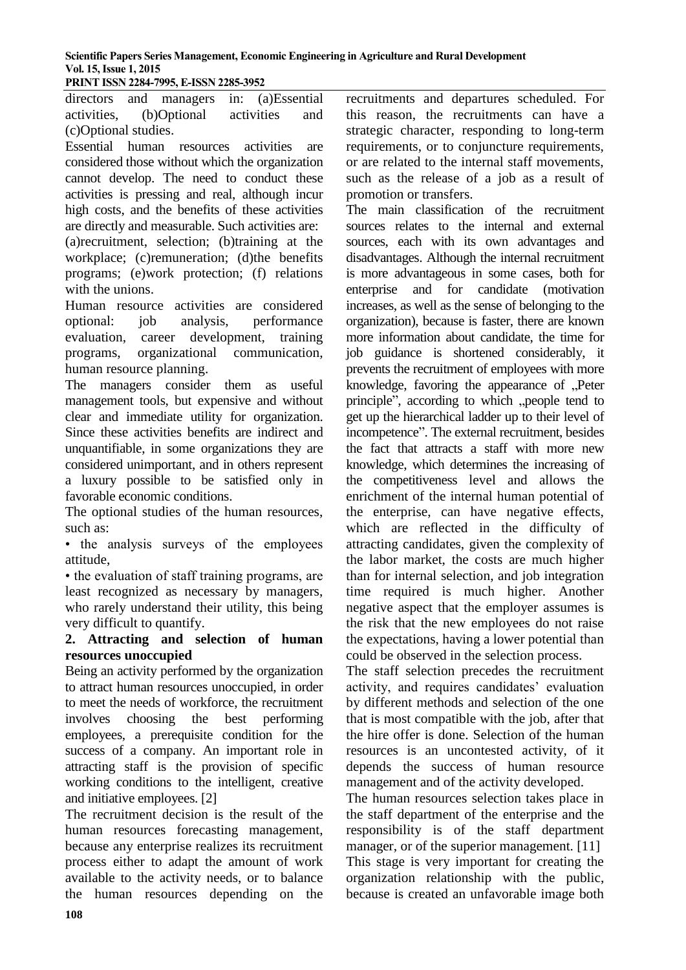**PRINT ISSN 2284-7995, E-ISSN 2285-3952** 

directors and managers in: (a)Essential activities, (b)Optional activities and (c)Optional studies.

Essential human resources activities are considered those without which the organization cannot develop. The need to conduct these activities is pressing and real, although incur high costs, and the benefits of these activities are directly and measurable. Such activities are:

(a)recruitment, selection; (b)training at the workplace; (c)remuneration; (d)the benefits programs; (e)work protection; (f) relations with the unions.

Human resource activities are considered optional: job analysis, performance evaluation, career development, training programs, organizational communication, human resource planning.

The managers consider them as useful management tools, but expensive and without clear and immediate utility for organization. Since these activities benefits are indirect and unquantifiable, in some organizations they are considered unimportant, and in others represent a luxury possible to be satisfied only in favorable economic conditions.

The optional studies of the human resources, such as:

• the analysis surveys of the employees attitude,

• the evaluation of staff training programs, are least recognized as necessary by managers, who rarely understand their utility, this being very difficult to quantify.

## **2. Attracting and selection of human resources unoccupied**

Being an activity performed by the organization to attract human resources unoccupied, in order to meet the needs of workforce, the recruitment involves choosing the best performing employees, a prerequisite condition for the success of a company. An important role in attracting staff is the provision of specific working conditions to the intelligent, creative and initiative employees. [2]

The recruitment decision is the result of the human resources forecasting management, because any enterprise realizes its recruitment process either to adapt the amount of work available to the activity needs, or to balance the human resources depending on the

recruitments and departures scheduled. For this reason, the recruitments can have a strategic character, responding to long-term requirements, or to conjuncture requirements, or are related to the internal staff movements, such as the release of a job as a result of promotion or transfers.

The main classification of the recruitment sources relates to the internal and external sources, each with its own advantages and disadvantages. Although the internal recruitment is more advantageous in some cases, both for enterprise and for candidate (motivation increases, as well as the sense of belonging to the organization), because is faster, there are known more information about candidate, the time for job guidance is shortened considerably, it prevents the recruitment of employees with more knowledge, favoring the appearance of ..Peter principle", according to which "people tend to get up the hierarchical ladder up to their level of incompetence". The external recruitment, besides the fact that attracts a staff with more new knowledge, which determines the increasing of the competitiveness level and allows the enrichment of the internal human potential of the enterprise, can have negative effects, which are reflected in the difficulty of attracting candidates, given the complexity of the labor market, the costs are much higher than for internal selection, and job integration time required is much higher. Another negative aspect that the employer assumes is the risk that the new employees do not raise the expectations, having a lower potential than could be observed in the selection process.

The staff selection precedes the recruitment activity, and requires candidates' evaluation by different methods and selection of the one that is most compatible with the job, after that the hire offer is done. Selection of the human resources is an uncontested activity, of it depends the success of human resource management and of the activity developed.

The human resources selection takes place in the staff department of the enterprise and the responsibility is of the staff department manager, or of the superior management. [11] This stage is very important for creating the organization relationship with the public, because is created an unfavorable image both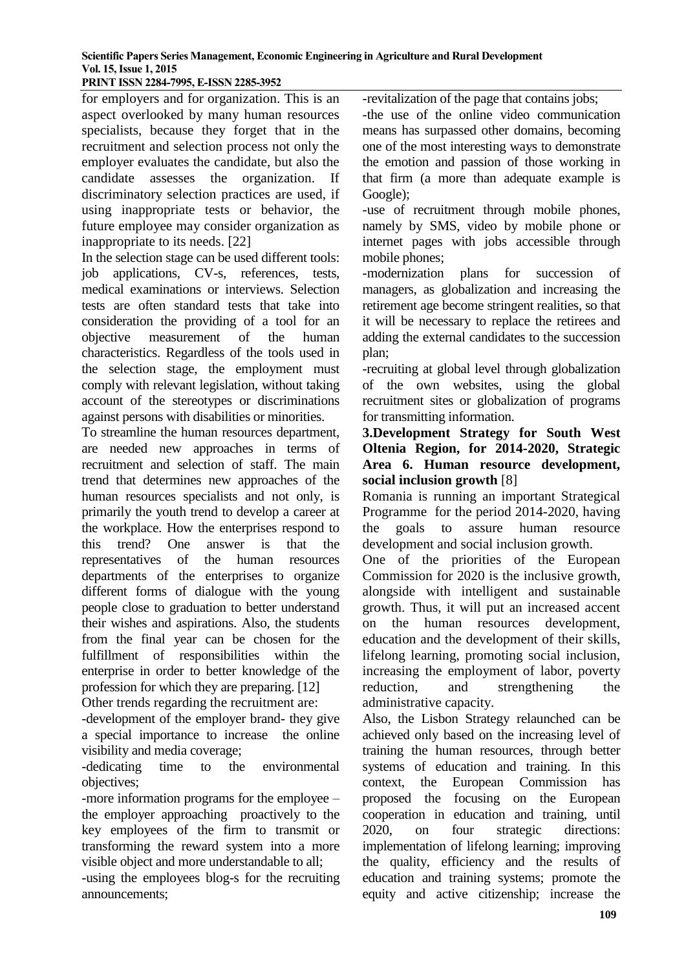#### **PRINT ISSN 2284-7995, E-ISSN 2285-3952**

for employers and for organization. This is an aspect overlooked by many human resources specialists, because they forget that in the recruitment and selection process not only the employer evaluates the candidate, but also the candidate assesses the organization. If discriminatory selection practices are used, if using inappropriate tests or behavior, the future employee may consider organization as inappropriate to its needs. [22]

In the selection stage can be used different tools: job applications, CV-s, references, tests, medical examinations or interviews. Selection tests are often standard tests that take into consideration the providing of a tool for an objective measurement of the human characteristics. Regardless of the tools used in the selection stage, the employment must comply with relevant legislation, without taking account of the stereotypes or discriminations against persons with disabilities or minorities.

To streamline the human resources department, are needed new approaches in terms of recruitment and selection of staff. The main trend that determines new approaches of the human resources specialists and not only, is primarily the youth trend to develop a career at the workplace. How the enterprises respond to this trend? One answer is that the representatives of the human resources departments of the enterprises to organize different forms of dialogue with the young people close to graduation to better understand their wishes and aspirations. Also, the students from the final year can be chosen for the fulfillment of responsibilities within the enterprise in order to better knowledge of the profession for which they are preparing. [12] Other trends regarding the recruitment are:

-development of the employer brand- they give a special importance to increase the online visibility and media coverage;

-dedicating time to the environmental objectives;

-more information programs for the employee – the employer approaching proactively to the key employees of the firm to transmit or transforming the reward system into a more visible object and more understandable to all;

-using the employees blog-s for the recruiting announcements;

-revitalization of the page that contains jobs;

-the use of the online video communication means has surpassed other domains, becoming one of the most interesting ways to demonstrate the emotion and passion of those working in that firm (a more than adequate example is Google);

-use of recruitment through mobile phones, namely by SMS, video by mobile phone or internet pages with jobs accessible through mobile phones;

-modernization plans for succession of managers, as globalization and increasing the retirement age become stringent realities, so that it will be necessary to replace the retirees and adding the external candidates to the succession plan;

-recruiting at global level through globalization of the own websites, using the global recruitment sites or globalization of programs for transmitting information.

### **3.Development Strategy for South West Oltenia Region, for 2014-2020, Strategic Area 6. Human resource development, social inclusion growth** [8]

Romania is running an important Strategical Programme for the period 2014-2020, having the goals to assure human resource development and social inclusion growth.

One of the priorities of the European Commission for 2020 is the inclusive growth, alongside with intelligent and sustainable growth. Thus, it will put an increased accent on the human resources development, education and the development of their skills, lifelong learning, promoting social inclusion, increasing the employment of labor, poverty reduction, and strengthening the administrative capacity.

Also, the Lisbon Strategy relaunched can be achieved only based on the increasing level of training the human resources, through better systems of education and training. In this context, the European Commission has proposed the focusing on the European cooperation in education and training, until 2020, on four strategic directions: implementation of lifelong learning; improving the quality, efficiency and the results of education and training systems; promote the equity and active citizenship; increase the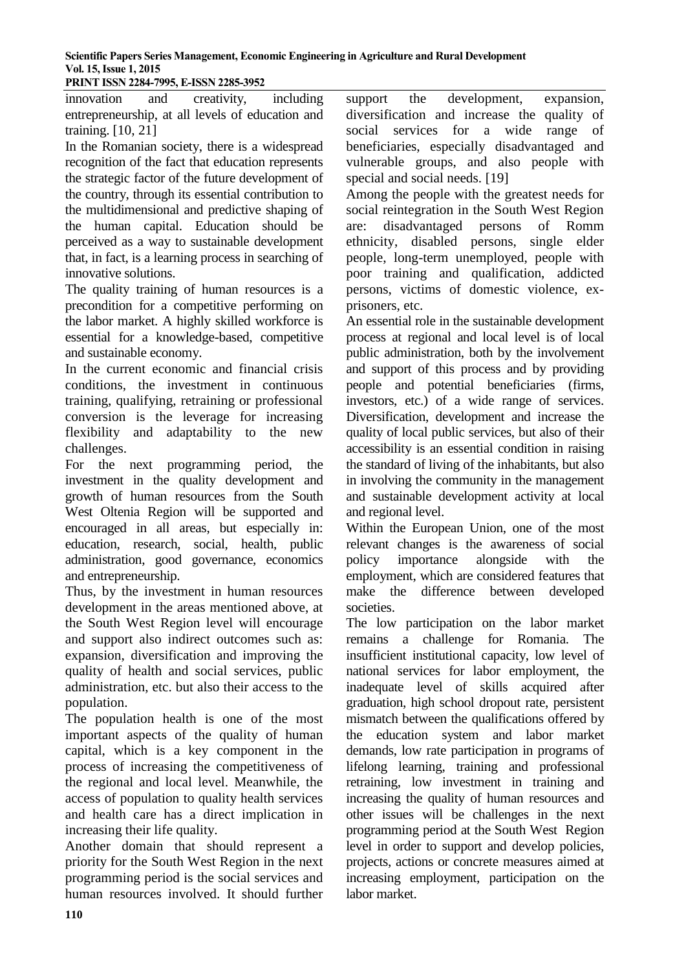**PRINT ISSN 2284-7995, E-ISSN 2285-3952** 

innovation and creativity, including entrepreneurship, at all levels of education and training. [10, 21]

In the Romanian society, there is a widespread recognition of the fact that education represents the strategic factor of the future development of the country, through its essential contribution to the multidimensional and predictive shaping of the human capital. Education should be perceived as a way to sustainable development that, in fact, is a learning process in searching of innovative solutions.

The quality training of human resources is a precondition for a competitive performing on the labor market. A highly skilled workforce is essential for a knowledge-based, competitive and sustainable economy.

In the current economic and financial crisis conditions, the investment in continuous training, qualifying, retraining or professional conversion is the leverage for increasing flexibility and adaptability to the new challenges.

For the next programming period, the investment in the quality development and growth of human resources from the South West Oltenia Region will be supported and encouraged in all areas, but especially in: education, research, social, health, public administration, good governance, economics and entrepreneurship.

Thus, by the investment in human resources development in the areas mentioned above, at the South West Region level will encourage and support also indirect outcomes such as: expansion, diversification and improving the quality of health and social services, public administration, etc. but also their access to the population.

The population health is one of the most important aspects of the quality of human capital, which is a key component in the process of increasing the competitiveness of the regional and local level. Meanwhile, the access of population to quality health services and health care has a direct implication in increasing their life quality.

Another domain that should represent a priority for the South West Region in the next programming period is the social services and human resources involved. It should further

support the development, expansion, diversification and increase the quality of social services for a wide range of beneficiaries, especially disadvantaged and vulnerable groups, and also people with special and social needs. [19]

Among the people with the greatest needs for social reintegration in the South West Region are: disadvantaged persons of Romm ethnicity, disabled persons, single elder people, long-term unemployed, people with poor training and qualification, addicted persons, victims of domestic violence, exprisoners, etc.

An essential role in the sustainable development process at regional and local level is of local public administration, both by the involvement and support of this process and by providing people and potential beneficiaries (firms, investors, etc.) of a wide range of services. Diversification, development and increase the quality of local public services, but also of their accessibility is an essential condition in raising the standard of living of the inhabitants, but also in involving the community in the management and sustainable development activity at local and regional level.

Within the European Union, one of the most relevant changes is the awareness of social policy importance alongside with the employment, which are considered features that make the difference between developed societies.

The low participation on the labor market remains a challenge for Romania. The insufficient institutional capacity, low level of national services for labor employment, the inadequate level of skills acquired after graduation, high school dropout rate, persistent mismatch between the qualifications offered by the education system and labor market demands, low rate participation in programs of lifelong learning, training and professional retraining, low investment in training and increasing the quality of human resources and other issues will be challenges in the next programming period at the South West Region level in order to support and develop policies, projects, actions or concrete measures aimed at increasing employment, participation on the labor market.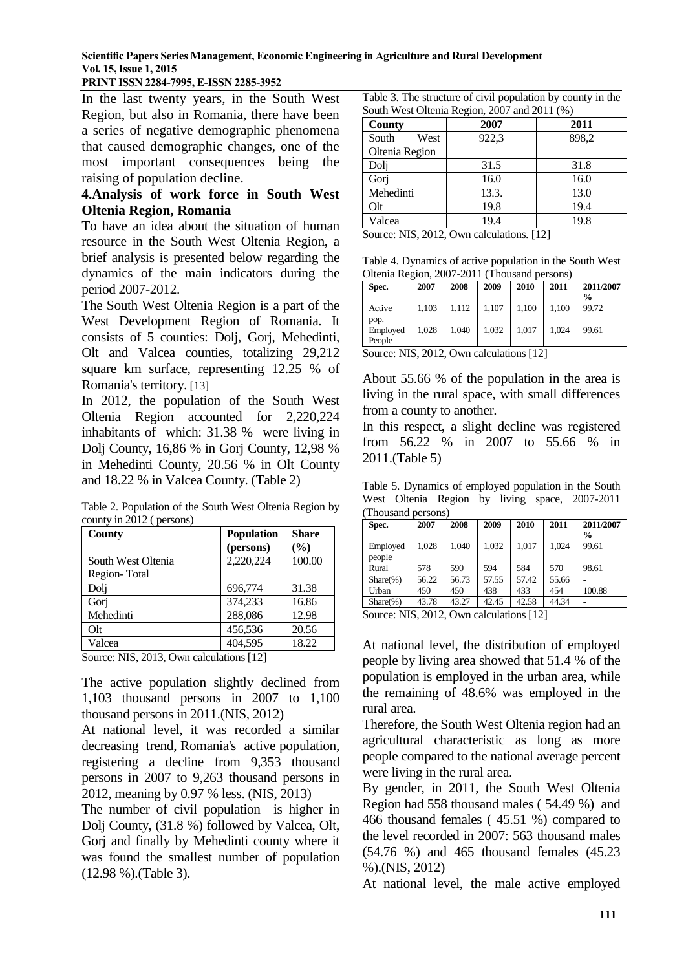## **PRINT ISSN 2284-7995, E-ISSN 2285-3952**

In the last twenty years, in the South West Region, but also in Romania, there have been a series of negative demographic phenomena that caused demographic changes, one of the most important consequences being the raising of population decline.

### **4.Analysis of work force in South West Oltenia Region, Romania**

To have an idea about the situation of human resource in the South West Oltenia Region, a brief analysis is presented below regarding the dynamics of the main indicators during the period 2007-2012.

The South West Oltenia Region is a part of the West Development Region of Romania. It consists of 5 counties: Dolj, Gorj, Mehedinti, Olt and Valcea counties, totalizing 29,212 square km surface, representing 12.25 % of Romania's territory. [13]

In 2012, the population of the South West Oltenia Region accounted for 2,220,224 inhabitants of which: 31.38 % were living in Dolj County, 16,86 % in Gorj County, 12,98 % in Mehedinti County, 20.56 % in Olt County and 18.22 % in Valcea County. (Table 2)

Table 2. Population of the South West Oltenia Region by county in 2012 ( persons)

| County             | <b>Population</b> | <b>Share</b>  |
|--------------------|-------------------|---------------|
|                    | (persons)         | $\frac{6}{2}$ |
| South West Oltenia | 2,220,224         | 100.00        |
| Region-Total       |                   |               |
| Dolj               | 696,774           | 31.38         |
| Gorj               | 374,233           | 16.86         |
| Mehedinti          | 288,086           | 12.98         |
| Q <sub>lt</sub>    | 456,536           | 20.56         |
| Valcea             | 404,595           | 18.22         |

Source: NIS, 2013, Own calculations [12]

The active population slightly declined from 1,103 thousand persons in 2007 to 1,100 thousand persons in 2011.(NIS, 2012)

At national level, it was recorded a similar decreasing trend, Romania's active population, registering a decline from 9,353 thousand persons in 2007 to 9,263 thousand persons in 2012, meaning by 0.97 % less. (NIS, 2013)

The number of civil population is higher in Dolj County, (31.8 %) followed by Valcea, Olt, Gorj and finally by Mehedinti county where it was found the smallest number of population (12.98 %).(Table 3).

Table 3. The structure of civil population by county in the South West Oltenia Region, 2007 and 2011 (%)

| <b>County</b>  | 2007  | 2011  |
|----------------|-------|-------|
| South<br>West  | 922,3 | 898,2 |
| Oltenia Region |       |       |
| Dolj           | 31.5  | 31.8  |
| Gori           | 16.0  | 16.0  |
| Mehedinti      | 13.3. | 13.0  |
| Olt            | 19.8  | 19.4  |
| √alcea         | 19.4  | 19.8  |

Source: NIS, 2012, Own calculations. [12]

Table 4. Dynamics of active population in the South West Oltenia Region, 2007-2011 (Thousand persons)

| Spec.              | 2007  | 2008  | 2009  | 2010  | 2011  | 2011/2007<br>$\frac{6}{9}$ |
|--------------------|-------|-------|-------|-------|-------|----------------------------|
| Active<br>pop.     | 1,103 | 1.112 | 1,107 | 1,100 | 1.100 | 99.72                      |
| Employed<br>People | 1.028 | 1.040 | 1.032 | 1.017 | 1.024 | 99.61                      |

Source: NIS, 2012, Own calculations [12]

About 55.66 % of the population in the area is living in the rural space, with small differences from a county to another.

In this respect, a slight decline was registered from 56.22 % in 2007 to 55.66 % in 2011.(Table 5)

Table 5. Dynamics of employed population in the South West Oltenia Region by living space, 2007-2011 (Thousand persons)

| Spec.              | 2007  | 2008  | 2009  | 2010  | 2011  | 2011/2007<br>$\frac{6}{9}$ |
|--------------------|-------|-------|-------|-------|-------|----------------------------|
| Employed<br>people | 1.028 | 1.040 | 1.032 | 1.017 | 1.024 | 99.61                      |
| Rural              | 578   | 590   | 594   | 584   | 570   | 98.61                      |
| $Share(\% )$       | 56.22 | 56.73 | 57.55 | 57.42 | 55.66 |                            |
| Urban              | 450   | 450   | 438   | 433   | 454   | 100.88                     |
| $Share(\%)$        | 43.78 | 43.27 | 42.45 | 42.58 | 44.34 |                            |

Source: NIS, 2012, Own calculations [12]

At national level, the distribution of employed people by living area showed that 51.4 % of the population is employed in the urban area, while the remaining of 48.6% was employed in the rural area.

Therefore, the South West Oltenia region had an agricultural characteristic as long as more people compared to the national average percent were living in the rural area.

By gender, in 2011, the South West Oltenia Region had 558 thousand males ( 54.49 %) and 466 thousand females ( 45.51 %) compared to the level recorded in 2007: 563 thousand males (54.76 %) and 465 thousand females (45.23 %).(NIS, 2012)

At national level, the male active employed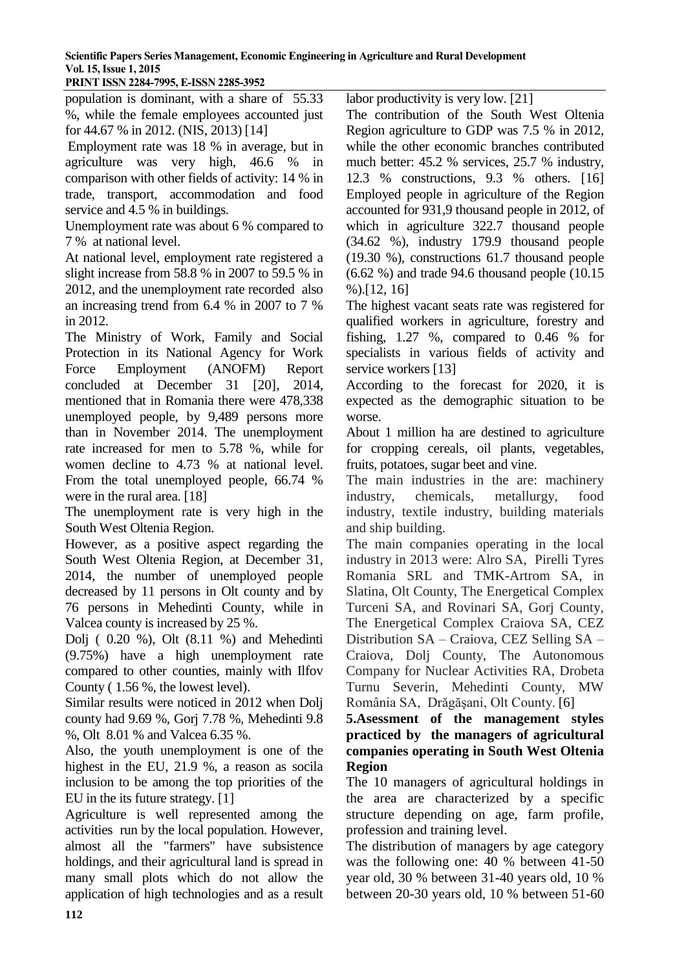population is dominant, with a share of 55.33 %, while the female employees accounted just for 44.67 % in 2012. (NIS, 2013) [14] Employment rate was 18 % in average, but in agriculture was very high, 46.6 % in

comparison with other fields of activity: 14 % in trade, transport, accommodation and food service and 4.5 % in buildings.

Unemployment rate was about 6 % compared to 7 % at national level.

At national level, employment rate registered a slight increase from 58.8 % in 2007 to 59.5 % in 2012, and the unemployment rate recorded also an increasing trend from 6.4 % in 2007 to 7 % in 2012.

The Ministry of Work, Family and Social Protection in its National Agency for Work Force Employment (ANOFM) Report concluded at December 31 [20], 2014, mentioned that in Romania there were 478,338 unemployed people, by 9,489 persons more than in November 2014. The unemployment rate increased for men to 5.78 %, while for women decline to 4.73 % at national level. From the total unemployed people, 66.74 % were in the rural area. [18]

The unemployment rate is very high in the South West Oltenia Region.

However, as a positive aspect regarding the South West Oltenia Region, at December 31, 2014, the number of unemployed people decreased by 11 persons in Olt county and by 76 persons in Mehedinti County, while in Valcea county is increased by 25 %.

Dolj ( 0.20 %), Olt (8.11 %) and Mehedinti (9.75%) have a high unemployment rate compared to other counties, mainly with Ilfov County ( 1.56 %, the lowest level).

Similar results were noticed in 2012 when Dolj county had 9.69 %, Gorj 7.78 %, Mehedinti 9.8 %, Olt 8.01 % and Valcea 6.35 %.

Also, the youth unemployment is one of the highest in the EU, 21.9 %, a reason as socila inclusion to be among the top priorities of the EU in the its future strategy. [1]

Agriculture is well represented among the activities run by the local population. However, almost all the "farmers" have subsistence holdings, and their agricultural land is spread in many small plots which do not allow the application of high technologies and as a result labor productivity is very low. [21]

The contribution of the South West Oltenia Region agriculture to GDP was 7.5 % in 2012, while the other economic branches contributed much better: 45.2 % services, 25.7 % industry, 12.3 % constructions, 9.3 % others. [16] Employed people in agriculture of the Region accounted for 931,9 thousand people in 2012, of which in agriculture 322.7 thousand people (34.62 %), industry 179.9 thousand people (19.30 %), constructions 61.7 thousand people (6.62 %) and trade 94.6 thousand people (10.15 %).[12, 16]

The highest vacant seats rate was registered for qualified workers in agriculture, forestry and fishing, 1.27 %, compared to 0.46 % for specialists in various fields of activity and service workers [13]

According to the forecast for 2020, it is expected as the demographic situation to be worse.

About 1 million ha are destined to agriculture for cropping cereals, oil plants, vegetables, fruits, potatoes, sugar beet and vine.

The main industries in the are: machinery industry, chemicals, metallurgy, food industry, textile industry, building materials and ship building.

The main companies operating in the local industry in 2013 were: Alro SA, Pirelli Tyres Romania SRL and TMK-Artrom SA, in Slatina, Olt County, The Energetical Complex Turceni SA, and Rovinari SA, Gorj County, The Energetical Complex Craiova SA, CEZ Distribution SA – Craiova, CEZ Selling SA – Craiova, Dolj County, The Autonomous Company for Nuclear Activities RA, Drobeta Turnu Severin, Mehedinti County, MW România SA, Drăgăşani, Olt County. [6]

**5.Asessment of the management styles practiced by the managers of agricultural companies operating in South West Oltenia Region**

The 10 managers of agricultural holdings in the area are characterized by a specific structure depending on age, farm profile, profession and training level.

The distribution of managers by age category was the following one: 40 % between 41-50 year old, 30 % between 31-40 years old, 10 % between 20-30 years old, 10 % between 51-60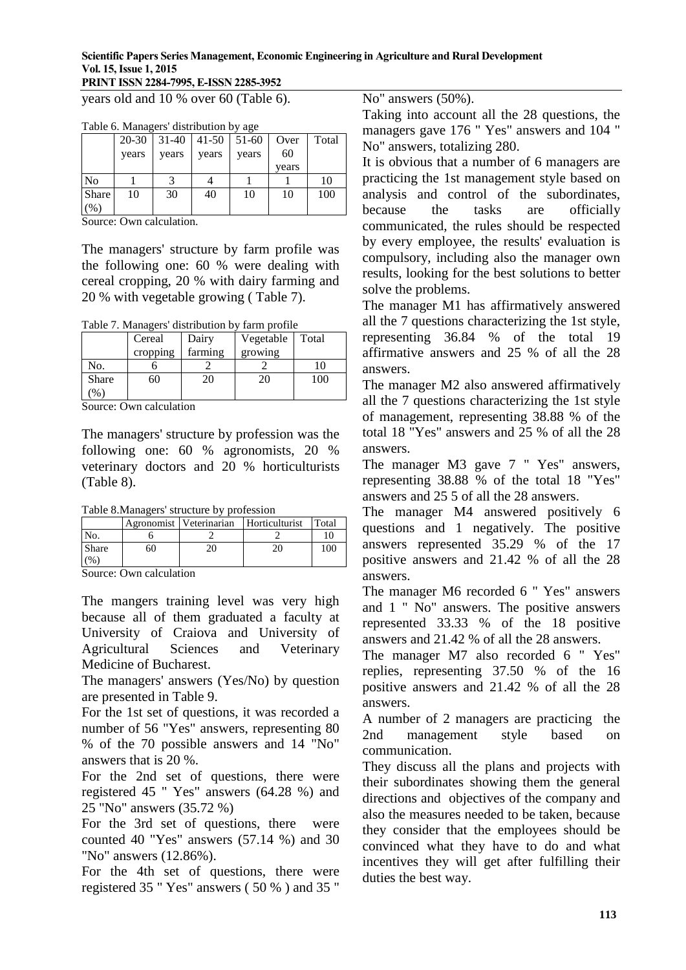# **PRINT ISSN 2284-7995, E-ISSN 2285-3952**

years old and 10 % over 60 (Table 6).

|       | 20-30 |       | $31-40$   41-50   51-60 |       | Over  | Total |
|-------|-------|-------|-------------------------|-------|-------|-------|
|       | years | years | years                   | years | 60    |       |
|       |       |       |                         |       | years |       |
| No    |       | 2     |                         |       |       | 10    |
| Share | 10    | 30    | 40                      | 10    | 10    | 100   |
| $\%$  |       |       |                         |       |       |       |

Source: Own calculation.

The managers' structure by farm profile was the following one: 60 % were dealing with cereal cropping, 20 % with dairy farming and 20 % with vegetable growing ( Table 7).

Table 7. Managers' distribution by farm profile

|              | Cereal   | Dairy<br>farming | Vegetable | Total |
|--------------|----------|------------------|-----------|-------|
|              | cropping |                  | growing   |       |
| No.          |          |                  |           |       |
| <b>Share</b> | 60       | 20               | 20        | 100   |
| $\%$         |          |                  |           |       |

Source: Own calculation

The managers' structure by profession was the following one: 60 % agronomists, 20 % veterinary doctors and 20 % horticulturists (Table 8).

Table 8.Managers' structure by profession

|       |    | Agronomist   Veterinarian | Horticulturist | Total |
|-------|----|---------------------------|----------------|-------|
| No.   |    |                           |                |       |
| Share | 60 |                           |                | 00    |
|       |    |                           |                |       |

Source: Own calculation

The mangers training level was very high because all of them graduated a faculty at University of Craiova and University of Agricultural Sciences and Veterinary Medicine of Bucharest.

The managers' answers (Yes/No) by question are presented in Table 9.

For the 1st set of questions, it was recorded a number of 56 "Yes" answers, representing 80 % of the 70 possible answers and 14 "No" answers that is 20 %.

For the 2nd set of questions, there were registered 45 " Yes" answers (64.28 %) and 25 "No" answers (35.72 %)

For the 3rd set of questions, there were counted 40 "Yes" answers (57.14 %) and 30 "No" answers (12.86%).

For the 4th set of questions, there were registered 35 " Yes" answers ( 50 % ) and 35 "

No" answers (50%).

Taking into account all the 28 questions, the managers gave 176 " Yes" answers and 104 " No" answers, totalizing 280.

It is obvious that a number of 6 managers are practicing the 1st management style based on analysis and control of the subordinates, because the tasks are officially communicated, the rules should be respected by every employee, the results' evaluation is compulsory, including also the manager own results, looking for the best solutions to better solve the problems.

The manager M1 has affirmatively answered all the 7 questions characterizing the 1st style, representing 36.84 % of the total 19 affirmative answers and 25 % of all the 28 answers.

The manager M2 also answered affirmatively all the 7 questions characterizing the 1st style of management, representing 38.88 % of the total 18 "Yes" answers and 25 % of all the 28 answers.

The manager M3 gave 7 " Yes" answers, representing 38.88 % of the total 18 "Yes" answers and 25 5 of all the 28 answers.

The manager M4 answered positively 6 questions and 1 negatively. The positive answers represented 35.29 % of the 17 positive answers and 21.42 % of all the 28 answers.

The manager M6 recorded 6 " Yes" answers and 1 " No" answers. The positive answers represented 33.33 % of the 18 positive answers and 21.42 % of all the 28 answers.

The manager M7 also recorded 6 " Yes" replies, representing 37.50 % of the 16 positive answers and 21.42 % of all the 28 answers.

A number of 2 managers are practicing the 2nd management style based on communication.

They discuss all the plans and projects with their subordinates showing them the general directions and objectives of the company and also the measures needed to be taken, because they consider that the employees should be convinced what they have to do and what incentives they will get after fulfilling their duties the best way.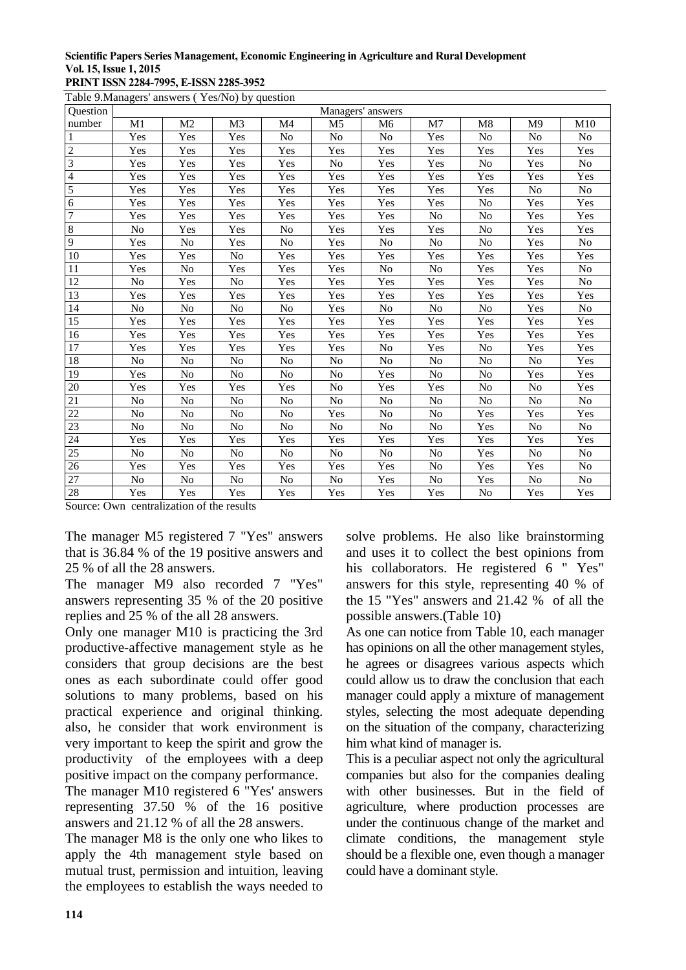#### **Scientific Papers Series Management, Economic Engineering in Agriculture and Rural Development Vol. 15, Issue 1, 2015 PRINT ISSN 2284-7995, E-ISSN 2285-3952**

Table 9.Managers' answers ( Yes/No) by question

| <b>Ouestion</b> | 1000<br>Managers' answers |                |                      |     |                |                      |                |                 |                |                      |
|-----------------|---------------------------|----------------|----------------------|-----|----------------|----------------------|----------------|-----------------|----------------|----------------------|
| number          | M1                        | M <sub>2</sub> | M3                   | M4  | M <sub>5</sub> | M <sub>6</sub>       | M7             | M8              | M <sup>9</sup> | M10                  |
|                 | Yes                       | Yes            | Yes                  | No  | No             | N <sub>o</sub>       | Yes            | No              | No             | $\rm No$             |
| $\overline{c}$  | Yes                       | Yes            | Yes                  | Yes | Yes            | Yes                  | Yes            | Yes             | Yes            | Yes                  |
| 3               | Yes                       | Yes            | $\operatorname{Yes}$ | Yes | No             | Yes                  | Yes            | No              | Yes            | No                   |
| $\overline{4}$  | <b>Yes</b>                | Yes            | Yes                  | Yes | Yes            | Yes                  | Yes            | Yes             | Yes            | Yes                  |
| $\overline{5}$  | Yes                       | Yes            | Yes                  | Yes | Yes            | $\operatorname{Yes}$ | Yes            | Yes             | No             | No                   |
| $\overline{6}$  | Yes                       | Yes            | Yes                  | Yes | Yes            | Yes                  | Yes            | No              | Yes            | Yes                  |
| $\overline{7}$  | Yes                       | Yes            | $\operatorname{Yes}$ | Yes | Yes            | Yes                  | No             | No              | Yes            | Yes                  |
| $\overline{8}$  | No                        | Yes            | Yes                  | No  | Yes            | Yes                  | Yes            | No              | Yes            | Yes                  |
| $\overline{9}$  | Yes                       | No             | Yes                  | No  | Yes            | No                   | No             | No              | Yes            | No                   |
| 10              | Yes                       | Yes            | No                   | Yes | Yes            | Yes                  | Yes            | Yes             | Yes            | $\operatorname{Yes}$ |
| 11              | Yes                       | No             | Yes                  | Yes | Yes            | N <sub>0</sub>       | No             | Yes             | Yes            | No                   |
| $12\,$          | No                        | Yes            | $\overline{N}$       | Yes | Yes            | Yes                  | Yes            | Yes             | Yes            | $\rm No$             |
| 13              | Yes                       | Yes            | Yes                  | Yes | Yes            | Yes                  | Yes            | Yes             | Yes            | Yes                  |
| 14              | No                        | No             | No                   | No  | Yes            | N <sub>0</sub>       | No             | No              | Yes            | No                   |
| 15              | Yes                       | Yes            | Yes                  | Yes | Yes            | Yes                  | Yes            | Yes             | Yes            | Yes                  |
| 16              | Yes                       | Yes            | $\overline{Y}$ es    | Yes | Yes            | Yes                  | Yes            | Yes             | Yes            | Yes                  |
| 17              | Yes                       | Yes            | Yes                  | Yes | Yes            | No                   | Yes            | No              | Yes            | Yes                  |
| 18              | No                        | No             | $\overline{No}$      | No  | No             | N <sub>o</sub>       | No             | $\overline{No}$ | No             | Yes                  |
| 19              | Yes                       | N <sub>o</sub> | No                   | No  | No             | Yes                  | No             | No              | Yes            | Yes                  |
| $20\,$          | Yes                       | Yes            | Yes                  | Yes | No             | Yes                  | Yes            | $\rm No$        | No             | Yes                  |
| 21              | No                        | N <sub>o</sub> | No                   | No  | No             | No                   | No             | No              | N <sub>o</sub> | No                   |
| 22              | No                        | No             | No                   | No  | Yes            | No                   | No             | Yes             | Yes            | Yes                  |
| 23              | N <sub>o</sub>            | N <sub>o</sub> | No                   | No  | N <sub>o</sub> | No                   | N <sub>o</sub> | Yes             | N <sub>o</sub> | No                   |
| $24\,$          | Yes                       | Yes            | Yes                  | Yes | Yes            | Yes                  | Yes            | Yes             | Yes            | Yes                  |
| $25\,$          | N <sub>o</sub>            | N <sub>o</sub> | No                   | No  | No             | N <sub>o</sub>       | No             | Yes             | N <sub>o</sub> | No                   |
| $26\,$          | Yes                       | Yes            | Yes                  | Yes | Yes            | Yes                  | No             | Yes             | Yes            | No                   |
| $27\,$          | No                        | No             | No                   | No  | No             | Yes                  | No             | Yes             | No             | No                   |
| $28\,$          | Yes                       | Yes            | Yes                  | Yes | Yes            | Yes                  | Yes            | N <sub>o</sub>  | Yes            | Yes                  |

Source: Own centralization of the results

The manager M5 registered 7 "Yes" answers that is 36.84 % of the 19 positive answers and 25 % of all the 28 answers.

The manager M9 also recorded 7 "Yes" answers representing 35 % of the 20 positive replies and 25 % of the all 28 answers.

Only one manager M10 is practicing the 3rd productive-affective management style as he considers that group decisions are the best ones as each subordinate could offer good solutions to many problems, based on his practical experience and original thinking. also, he consider that work environment is very important to keep the spirit and grow the productivity of the employees with a deep positive impact on the company performance.

The manager M10 registered 6 "Yes' answers representing 37.50 % of the 16 positive answers and 21.12 % of all the 28 answers.

The manager M8 is the only one who likes to apply the 4th management style based on mutual trust, permission and intuition, leaving the employees to establish the ways needed to

solve problems. He also like brainstorming and uses it to collect the best opinions from his collaborators. He registered 6 " Yes" answers for this style, representing 40 % of the 15 "Yes" answers and  $21.42\%$  of all the possible answers.(Table 10)

As one can notice from Table 10, each manager has opinions on all the other management styles, he agrees or disagrees various aspects which could allow us to draw the conclusion that each manager could apply a mixture of management styles, selecting the most adequate depending on the situation of the company, characterizing him what kind of manager is.

This is a peculiar aspect not only the agricultural companies but also for the companies dealing with other businesses. But in the field of agriculture, where production processes are under the continuous change of the market and climate conditions, the management style should be a flexible one, even though a manager could have a dominant style.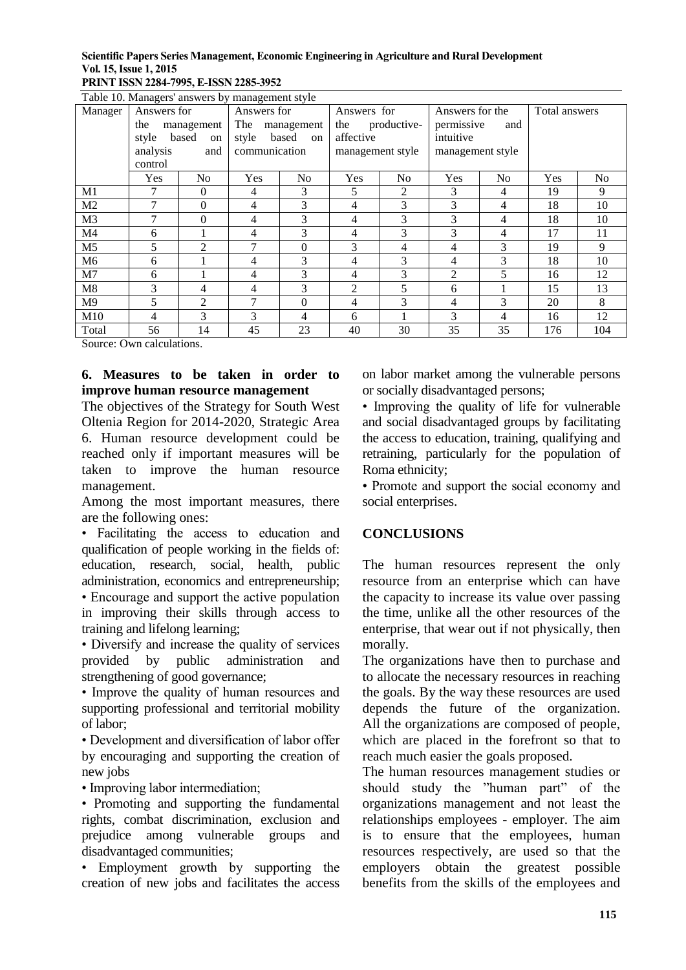**PRINT ISSN 2284-7995, E-ISSN 2285-3952** 

| Table 10. Managers' answers by management style |                |                |                |                |                  |                |                  |                 |               |                |
|-------------------------------------------------|----------------|----------------|----------------|----------------|------------------|----------------|------------------|-----------------|---------------|----------------|
| Manager                                         | Answers for    |                | Answers for    |                |                  | Answers for    |                  | Answers for the | Total answers |                |
|                                                 | the            | management     | The            | management     | the              | productive-    | permissive       | and             |               |                |
|                                                 | style          | based<br>on    | style          | based<br>on    | affective        |                | intuitive        |                 |               |                |
|                                                 | analysis       | and            | communication  |                | management style |                | management style |                 |               |                |
|                                                 | control        |                |                |                |                  |                |                  |                 |               |                |
|                                                 | Yes            | N <sub>0</sub> | <b>Yes</b>     | N <sub>0</sub> | Yes              | N <sub>0</sub> | <b>Yes</b>       | N <sub>o</sub>  | Yes           | N <sub>o</sub> |
| M1                                              | 7              | $\Omega$       | $\overline{4}$ | 3              | 5                | 2              | 3                | 4               | 19            | 9              |
| M <sub>2</sub>                                  | 7              | $\Omega$       | $\overline{4}$ | 3              | $\overline{4}$   | 3              | 3                | 4               | 18            | 10             |
| M <sub>3</sub>                                  | 7              | $\Omega$       | $\overline{4}$ | 3              | $\overline{4}$   | 3              | 3                | 4               | 18            | 10             |
| M <sub>4</sub>                                  | 6              |                | $\overline{4}$ | 3              | $\overline{4}$   | 3              | 3                | 4               | 17            | 11             |
| M5                                              | 5              | $\overline{c}$ | $\overline{7}$ | $\Omega$       | 3                | 4              | 4                | 3               | 19            | 9              |
| M6                                              | 6              |                | 4              | 3              | 4                | 3              | 4                | 3               | 18            | 10             |
| M <sub>7</sub>                                  | 6              |                | $\overline{4}$ | 3              | 4                | 3              | 2                | 5               | 16            | 12             |
| M8                                              | 3              | 4              | 4              | 3              | 2                | 5              | 6                |                 | 15            | 13             |
| M <sup>9</sup>                                  | 5              | 2              | 7              | $\Omega$       | $\overline{4}$   | 3              | 4                | 3               | 20            | 8              |
| M10                                             | $\overline{4}$ | 3              | 3              | 4              | 6                |                | 3                | 4               | 16            | 12             |
| Total                                           | 56             | 14             | 45             | 23             | 40               | 30             | 35               | 35              | 176           | 104            |

Source: Own calculations.

## **6. Measures to be taken in order to improve human resource management**

The objectives of the Strategy for South West Oltenia Region for 2014-2020, Strategic Area 6. Human resource development could be reached only if important measures will be taken to improve the human resource management.

Among the most important measures, there are the following ones:

• Facilitating the access to education and qualification of people working in the fields of: education, research, social, health, public administration, economics and entrepreneurship; • Encourage and support the active population in improving their skills through access to training and lifelong learning;

• Diversify and increase the quality of services provided by public administration and strengthening of good governance;

• Improve the quality of human resources and supporting professional and territorial mobility of labor;

• Development and diversification of labor offer by encouraging and supporting the creation of new jobs

• Improving labor intermediation;

• Promoting and supporting the fundamental rights, combat discrimination, exclusion and prejudice among vulnerable groups and disadvantaged communities;

• Employment growth by supporting the creation of new jobs and facilitates the access

on labor market among the vulnerable persons or socially disadvantaged persons;

• Improving the quality of life for vulnerable and social disadvantaged groups by facilitating the access to education, training, qualifying and retraining, particularly for the population of Roma ethnicity;

• Promote and support the social economy and social enterprises.

# **CONCLUSIONS**

The human resources represent the only resource from an enterprise which can have the capacity to increase its value over passing the time, unlike all the other resources of the enterprise, that wear out if not physically, then morally.

The organizations have then to purchase and to allocate the necessary resources in reaching the goals. By the way these resources are used depends the future of the organization. All the organizations are composed of people, which are placed in the forefront so that to reach much easier the goals proposed.

The human resources management studies or should study the "human part" of the organizations management and not least the relationships employees - employer. The aim is to ensure that the employees, human resources respectively, are used so that the employers obtain the greatest possible benefits from the skills of the employees and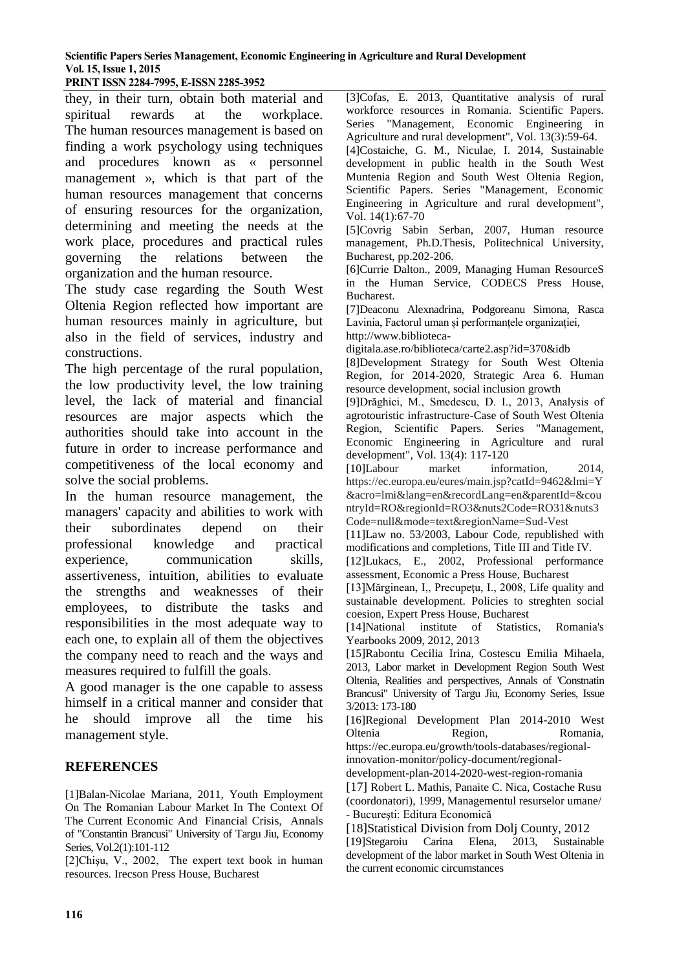#### **PRINT ISSN 2284-7995, E-ISSN 2285-3952**

they, in their turn, obtain both material and spiritual rewards at the workplace. The human resources management is based on finding a work psychology using techniques and procedures known as « personnel management », which is that part of the human resources management that concerns of ensuring resources for the organization, determining and meeting the needs at the work place, procedures and practical rules governing the relations between the organization and the human resource.

The study case regarding the South West Oltenia Region reflected how important are human resources mainly in agriculture, but also in the field of services, industry and constructions.

The high percentage of the rural population, the low productivity level, the low training level, the lack of material and financial resources are major aspects which the authorities should take into account in the future in order to increase performance and competitiveness of the local economy and solve the social problems.

In the human resource management, the managers' capacity and abilities to work with their subordinates depend on their professional knowledge and practical experience, communication skills, assertiveness, intuition, abilities to evaluate the strengths and weaknesses of their employees, to distribute the tasks and responsibilities in the most adequate way to each one, to explain all of them the objectives the company need to reach and the ways and measures required to fulfill the goals.

A good manager is the one capable to assess himself in a critical manner and consider that he should improve all the time his management style.

#### **REFERENCES**

[1]Balan-Nicolae Mariana, 2011, Youth Employment On The Romanian Labour Market In The Context Of The Current Economic And Financial Crisis, Annals of "Constantin Brancusi" University of Targu Jiu, Economy Series, Vol.2(1):101-112

[2]Chişu, V., 2002, The expert text book in human resources*.* Irecson Press House, Bucharest

[3]Cofas, E. 2013, Quantitative analysis of rural workforce resources in Romania. Scientific Papers. Series "Management, Economic Engineering in Agriculture and rural development", Vol. 13(3):59-64. [4]Costaiche, G. M., Niculae, I. 2014, Sustainable development in public health in the South West Muntenia Region and South West Oltenia Region, Scientific Papers. Series "Management, Economic

Engineering in Agriculture and rural development", Vol. 14(1):67-70 [5]Covrig Sabin Serban, 2007, Human resource

management, Ph.D.Thesis, Politechnical University, Bucharest, pp.202-206.

[6]Currie Dalton., 2009, Managing Human ResourceS in the Human Service, CODECS Press House, Bucharest.

[7]Deaconu Alexnadrina, Podgoreanu Simona, Rasca Lavinia, Factorul uman și performanțele organizației, http://www.biblioteca-

digitala.ase.ro/biblioteca/carte2.asp?id=370&idb

[8]Development Strategy for South West Oltenia Region, for 2014-2020, Strategic Area 6. Human resource development, social inclusion growth

[9]Drăghici, M., Smedescu, D. I., 2013, Analysis of agrotouristic infrastructure-Case of South West Oltenia Region, Scientific Papers. Series "Management, Economic Engineering in Agriculture and rural development", Vol. 13(4): 117-120

[10]Labour market information, 2014, https://ec.europa.eu/eures/main.jsp?catId=9462&lmi=Y &acro=lmi&lang=en&recordLang=en&parentId=&cou ntryId=RO&regionId=RO3&nuts2Code=RO31&nuts3 Code=null&mode=text&regionName=Sud-Vest

[11]Law no. 53/2003, Labour Code, republished with modifications and completions, Title III and Title IV.

[12]Lukacs, E., 2002, Professional performance assessment, Economic a Press House, Bucharest

[13]Mărginean, I., Precupețu, I., 2008, Life quality and sustainable development. Policies to streghten social coesion, Expert Press House, Bucharest

[14]National institute of Statistics, Romania's Yearbooks 2009, 2012, 2013

[15]Rabontu Cecilia Irina, Costescu Emilia Mihaela, 2013, Labor market in Development Region South West Oltenia, Realities and perspectives, Annals of 'Constnatin Brancusi" University of Targu Jiu, Economy Series, Issue 3/2013: 173-180

[16]Regional Development Plan 2014-2010 West Oltenia Region, Romania,

https://ec.europa.eu/growth/tools-databases/regionalinnovation-monitor/policy-document/regional-

development-plan-2014-2020-west-region-romania

[17] Robert L. Mathis, Panaite C. Nica, Costache Rusu (coordonatori), 1999, Managementul resurselor umane/ - Bucureşti: Editura Economică

[18]Statistical Division from Dolj County, 2012<br>[19]Stegaroiu Carina Elena, 2013, Sustainable [19]Stegaroiu Carina Elena, development of the labor market in South West Oltenia in the current economic circumstances